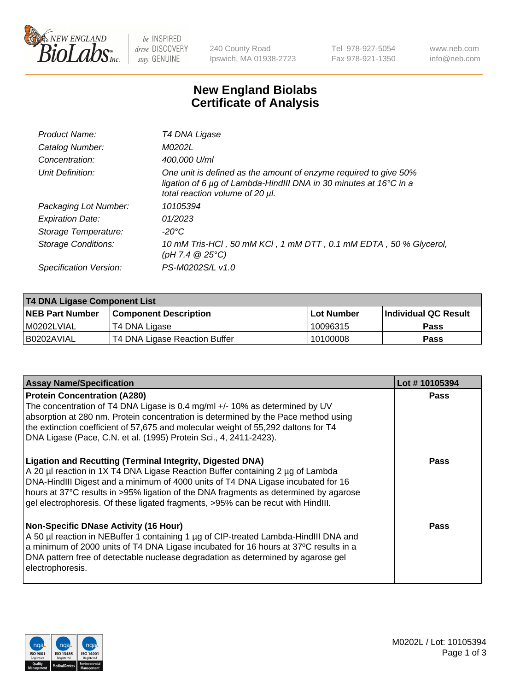

be INSPIRED drive DISCOVERY stay GENUINE

240 County Road Ipswich, MA 01938-2723 Tel 978-927-5054 Fax 978-921-1350 www.neb.com info@neb.com

## **New England Biolabs Certificate of Analysis**

| Product Name:              | T4 DNA Ligase                                                                                                                                                            |
|----------------------------|--------------------------------------------------------------------------------------------------------------------------------------------------------------------------|
| Catalog Number:            | M0202L                                                                                                                                                                   |
| Concentration:             | 400,000 U/ml                                                                                                                                                             |
| Unit Definition:           | One unit is defined as the amount of enzyme required to give 50%<br>ligation of 6 µg of Lambda-HindIII DNA in 30 minutes at 16°C in a<br>total reaction volume of 20 µl. |
| Packaging Lot Number:      | 10105394                                                                                                                                                                 |
| <b>Expiration Date:</b>    | 01/2023                                                                                                                                                                  |
| Storage Temperature:       | -20°C                                                                                                                                                                    |
| <b>Storage Conditions:</b> | 10 mM Tris-HCl, 50 mM KCl, 1 mM DTT, 0.1 mM EDTA, 50 % Glycerol,<br>(pH 7.4 $@25°C$ )                                                                                    |
| Specification Version:     | PS-M0202S/L v1.0                                                                                                                                                         |

| T4 DNA Ligase Component List |                               |              |                             |  |
|------------------------------|-------------------------------|--------------|-----------------------------|--|
| <b>NEB Part Number</b>       | <b>Component Description</b>  | l Lot Number | <b>Individual QC Result</b> |  |
| M0202LVIAL                   | T4 DNA Ligase                 | 10096315     | <b>Pass</b>                 |  |
| I B0202AVIAL                 | T4 DNA Ligase Reaction Buffer | 10100008     | <b>Pass</b>                 |  |

| <b>Assay Name/Specification</b>                                                                                                                                                                                                                                                                                                                                                                                    | Lot #10105394 |
|--------------------------------------------------------------------------------------------------------------------------------------------------------------------------------------------------------------------------------------------------------------------------------------------------------------------------------------------------------------------------------------------------------------------|---------------|
| <b>Protein Concentration (A280)</b><br>The concentration of T4 DNA Ligase is 0.4 mg/ml +/- 10% as determined by UV<br>absorption at 280 nm. Protein concentration is determined by the Pace method using<br>the extinction coefficient of 57,675 and molecular weight of 55,292 daltons for T4<br>DNA Ligase (Pace, C.N. et al. (1995) Protein Sci., 4, 2411-2423).                                                | <b>Pass</b>   |
| <b>Ligation and Recutting (Terminal Integrity, Digested DNA)</b><br>A 20 µl reaction in 1X T4 DNA Ligase Reaction Buffer containing 2 µg of Lambda<br>DNA-HindIII Digest and a minimum of 4000 units of T4 DNA Ligase incubated for 16<br>hours at 37°C results in >95% ligation of the DNA fragments as determined by agarose<br>gel electrophoresis. Of these ligated fragments, >95% can be recut with HindIII. | <b>Pass</b>   |
| <b>Non-Specific DNase Activity (16 Hour)</b><br>A 50 µl reaction in NEBuffer 1 containing 1 µg of CIP-treated Lambda-HindIII DNA and<br>a minimum of 2000 units of T4 DNA Ligase incubated for 16 hours at 37°C results in a<br>DNA pattern free of detectable nuclease degradation as determined by agarose gel<br>electrophoresis.                                                                               | <b>Pass</b>   |

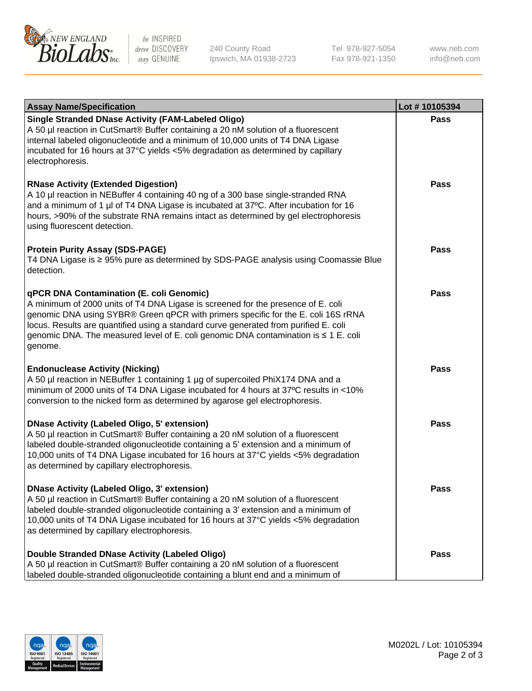

be INSPIRED drive DISCOVERY stay GENUINE

240 County Road Ipswich, MA 01938-2723 Tel 978-927-5054 Fax 978-921-1350

www.neb.com info@neb.com

| <b>Assay Name/Specification</b>                                                                                                                                                                                                                                                                                                                                                                             | Lot #10105394 |
|-------------------------------------------------------------------------------------------------------------------------------------------------------------------------------------------------------------------------------------------------------------------------------------------------------------------------------------------------------------------------------------------------------------|---------------|
| <b>Single Stranded DNase Activity (FAM-Labeled Oligo)</b><br>A 50 µl reaction in CutSmart® Buffer containing a 20 nM solution of a fluorescent<br>internal labeled oligonucleotide and a minimum of 10,000 units of T4 DNA Ligase<br>incubated for 16 hours at 37°C yields <5% degradation as determined by capillary<br>electrophoresis.                                                                   | <b>Pass</b>   |
| <b>RNase Activity (Extended Digestion)</b><br>A 10 µl reaction in NEBuffer 4 containing 40 ng of a 300 base single-stranded RNA<br>and a minimum of 1 µl of T4 DNA Ligase is incubated at 37°C. After incubation for 16<br>hours, >90% of the substrate RNA remains intact as determined by gel electrophoresis<br>using fluorescent detection.                                                             | Pass          |
| <b>Protein Purity Assay (SDS-PAGE)</b><br>T4 DNA Ligase is ≥ 95% pure as determined by SDS-PAGE analysis using Coomassie Blue<br>detection.                                                                                                                                                                                                                                                                 | Pass          |
| qPCR DNA Contamination (E. coli Genomic)<br>A minimum of 2000 units of T4 DNA Ligase is screened for the presence of E. coli<br>genomic DNA using SYBR® Green qPCR with primers specific for the E. coli 16S rRNA<br>locus. Results are quantified using a standard curve generated from purified E. coli<br>genomic DNA. The measured level of E. coli genomic DNA contamination is ≤ 1 E. coli<br>genome. | Pass          |
| <b>Endonuclease Activity (Nicking)</b><br>A 50 µl reaction in NEBuffer 1 containing 1 µg of supercoiled PhiX174 DNA and a<br>minimum of 2000 units of T4 DNA Ligase incubated for 4 hours at 37°C results in <10%<br>conversion to the nicked form as determined by agarose gel electrophoresis.                                                                                                            | <b>Pass</b>   |
| <b>DNase Activity (Labeled Oligo, 5' extension)</b><br>A 50 µl reaction in CutSmart® Buffer containing a 20 nM solution of a fluorescent<br>labeled double-stranded oligonucleotide containing a 5' extension and a minimum of<br>10,000 units of T4 DNA Ligase incubated for 16 hours at 37°C yields <5% degradation<br>as determined by capillary electrophoresis.                                        | <b>Pass</b>   |
| DNase Activity (Labeled Oligo, 3' extension)<br>A 50 µl reaction in CutSmart® Buffer containing a 20 nM solution of a fluorescent<br>labeled double-stranded oligonucleotide containing a 3' extension and a minimum of<br>10,000 units of T4 DNA Ligase incubated for 16 hours at 37°C yields <5% degradation<br>as determined by capillary electrophoresis.                                               | Pass          |
| Double Stranded DNase Activity (Labeled Oligo)<br>A 50 µl reaction in CutSmart® Buffer containing a 20 nM solution of a fluorescent<br>labeled double-stranded oligonucleotide containing a blunt end and a minimum of                                                                                                                                                                                      | Pass          |